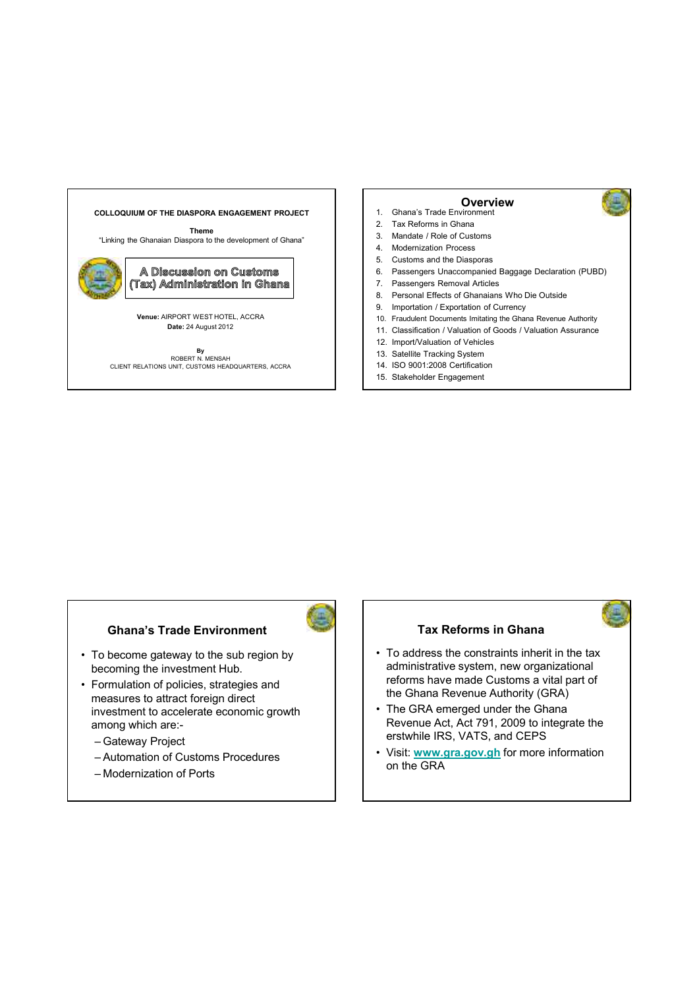# **COLLOQUIUM OF THE DIASPORA ENGAGEMENT PROJECT**

**Theme**

"Linking the Ghanaian Diaspora to the development of Ghana"



**A Discussion on Customs** (Tax) Administration in Ghana

**Venue:** AIRPORT WEST HOTEL, ACCRA **Date:** 24 August 2012

**By<br>ROBERT N. MENSAH<br>CLIENT RELATIONS UNIT, CUSTOMS HEADQUARTERS, ACCRA** 

#### **Overview**

- 1. Ghana's Trade Environment
- 2. Tax Reforms in Ghana
- 3. Mandate / Role of Customs
- 4. Modernization Process
- 5. Customs and the Diasporas
- 6. Passengers Unaccompanied Baggage Declaration (PUBD)
- 7. Passengers Removal Articles
- 8. Personal Effects of Ghanaians Who Die Outside
- 9. Importation / Exportation of Currency
- 10. Fraudulent Documents Imitating the Ghana Revenue Authority
- 11. Classification / Valuation of Goods / Valuation Assurance
- 12. Import/Valuation of Vehicles
- 13. Satellite Tracking System
- 14. ISO 9001:2008 Certification
- 15. Stakeholder Engagement

#### **Ghana's Trade Environment Tax Reforms in Ghana**

- To become gateway to the sub region by becoming the investment Hub.
- Formulation of policies, strategies and measures to attract foreign direct investment to accelerate economic growth among which are:-
	- Gateway Project
	- Automation of Customs Procedures
	- Modernization of Ports

- To address the constraints inherit in the tax administrative system, new organizational reforms have made Customs a vital part of the Ghana Revenue Authority (GRA)
- The GRA emerged under the Ghana Revenue Act, Act 791, 2009 to integrate the erstwhile IRS, VATS, and CEPS
- Visit: **www.gra.gov.gh** for more information on the GRA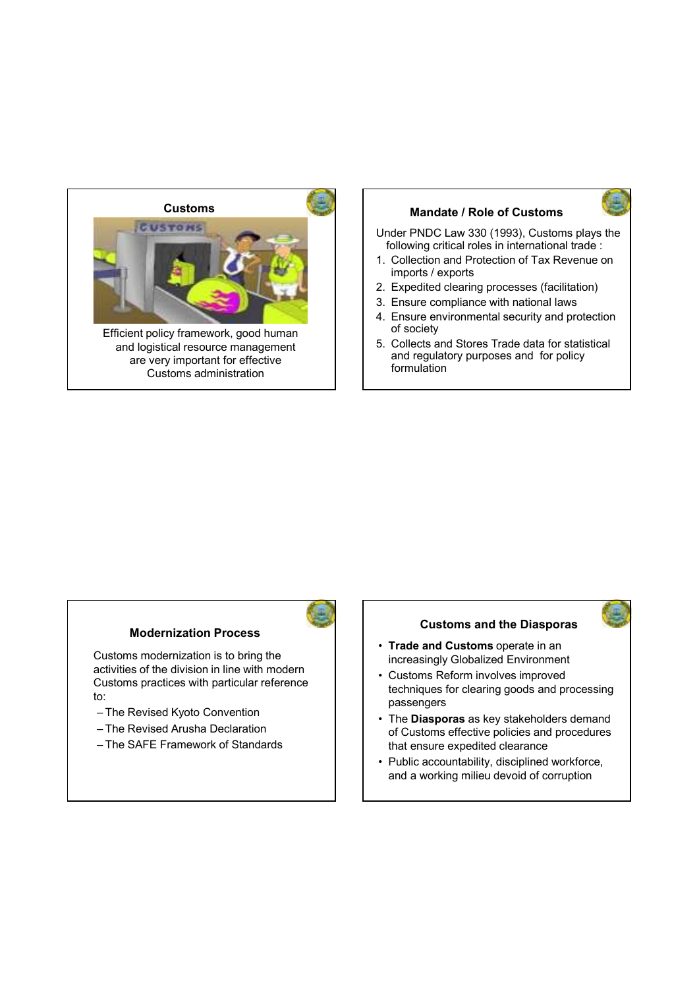

## **Mandate / Role of Customs**

Under PNDC Law 330 (1993), Customs plays the following critical roles in international trade :

- 1. Collection and Protection of Tax Revenue on imports / exports
- 2. Expedited clearing processes (facilitation)
- 3. Ensure compliance with national laws
- 4. Ensure environmental security and protection of society
- 5. Collects and Stores Trade data for statistical and regulatory purposes and for policy formulation

#### **Modernization Process**

Customs modernization is to bring the activities of the division in line with modern Customs practices with particular reference to:

- The Revised Kyoto Convention
- The Revised Arusha Declaration
- The SAFE Framework of Standards

#### **Customs and the Diasporas**

- **Trade and Customs** operate in an increasingly Globalized Environment
- Customs Reform involves improved techniques for clearing goods and processing passengers
- The **Diasporas** as key stakeholders demand of Customs effective policies and procedures that ensure expedited clearance
- Public accountability, disciplined workforce, and a working milieu devoid of corruption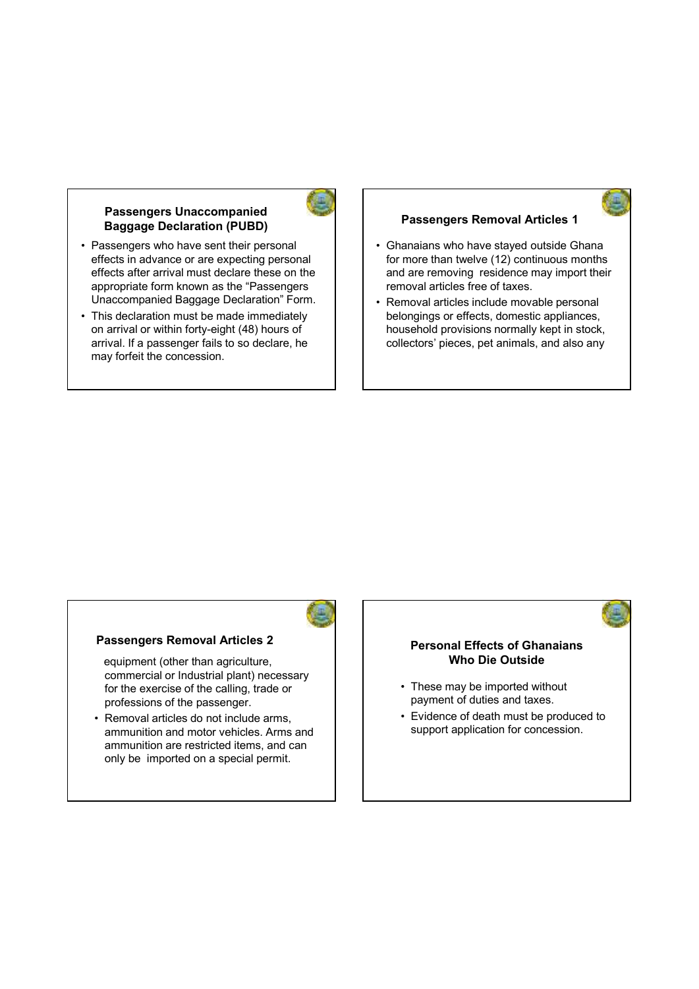#### **Passengers Unaccompanied Baggage Declaration (PUBD)**

- Passengers who have sent their personal effects in advance or are expecting personal effects after arrival must declare these on the appropriate form known as the "Passengers Unaccompanied Baggage Declaration" Form.
- This declaration must be made immediately on arrival or within forty-eight (48) hours of arrival. If a passenger fails to so declare, he may forfeit the concession.

#### **Passengers Removal Articles 1**

- Ghanaians who have stayed outside Ghana for more than twelve (12) continuous months and are removing residence may import their removal articles free of taxes.
- Removal articles include movable personal belongings or effects, domestic appliances, household provisions normally kept in stock, collectors' pieces, pet animals, and also any

# **Passengers Removal Articles 2**

equipment (other than agriculture, commercial or Industrial plant) necessary for the exercise of the calling, trade or professions of the passenger.

• Removal articles do not include arms, ammunition and motor vehicles. Arms and ammunition are restricted items, and can only be imported on a special permit.

#### **Personal Effects of Ghanaians Who Die Outside**

- These may be imported without payment of duties and taxes.
- Evidence of death must be produced to support application for concession.

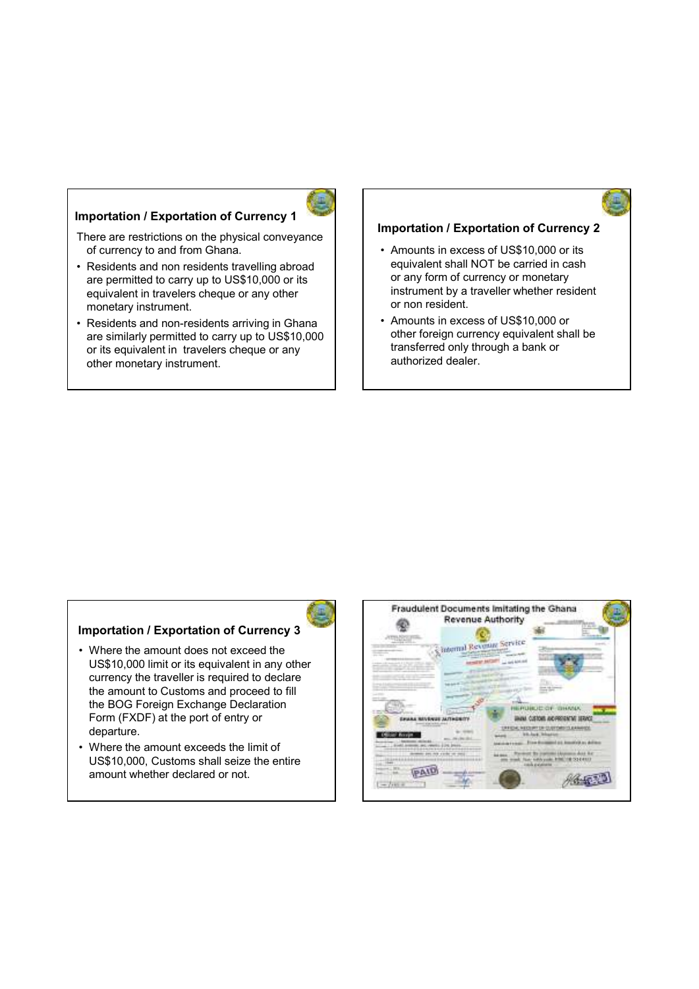#### **Importation / Exportation of Currency 1**



There are restrictions on the physical conveyance of currency to and from Ghana.

- Residents and non residents travelling abroad are permitted to carry up to US\$10,000 or its equivalent in travelers cheque or any other monetary instrument.
- Residents and non-residents arriving in Ghana are similarly permitted to carry up to US\$10,000 or its equivalent in travelers cheque or any other monetary instrument.

#### **Importation / Exportation of Currency 2**

- Amounts in excess of US\$10,000 or its equivalent shall NOT be carried in cash or any form of currency or monetary instrument by a traveller whether resident or non resident.
- Amounts in excess of US\$10,000 or other foreign currency equivalent shall be transferred only through a bank or authorized dealer.

#### **Importation / Exportation of Currency 3**

- Where the amount does not exceed the US\$10,000 limit or its equivalent in any other currency the traveller is required to declare the amount to Customs and proceed to fill the BOG Foreign Exchange Declaration Form (FXDF) at the port of entry or departure.
- Where the amount exceeds the limit of US\$10,000, Customs shall seize the entire amount whether declared or not.

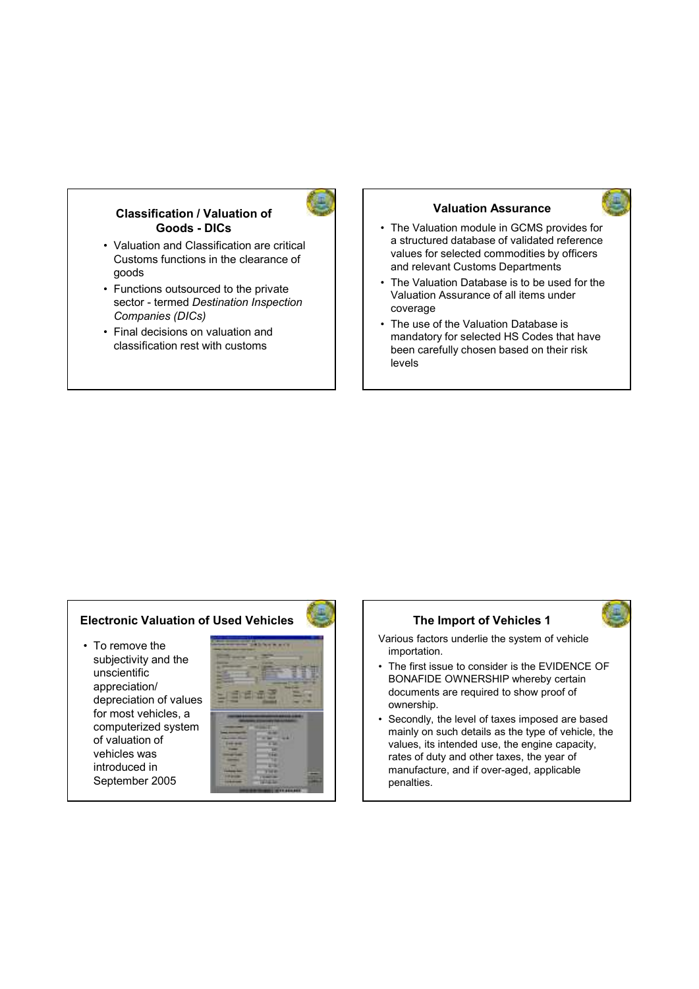#### **Classification / Valuation of Goods - DICs**

- Valuation and Classification are critical Customs functions in the clearance of goods
- Functions outsourced to the private sector - termed *Destination Inspection Companies (DICs)*
- Final decisions on valuation and classification rest with customs

#### **Valuation Assurance**

- The Valuation module in GCMS provides for a structured database of validated reference values for selected commodities by officers and relevant Customs Departments
- The Valuation Database is to be used for the Valuation Assurance of all items under coverage
- The use of the Valuation Database is mandatory for selected HS Codes that have been carefully chosen based on their risk levels

#### **Electronic Valuation of Used Vehicles**

• To remove the subjectivity and the unscientific appreciation/ depreciation of values for most vehicles, a computerized system of valuation of vehicles was introduced in September 2005



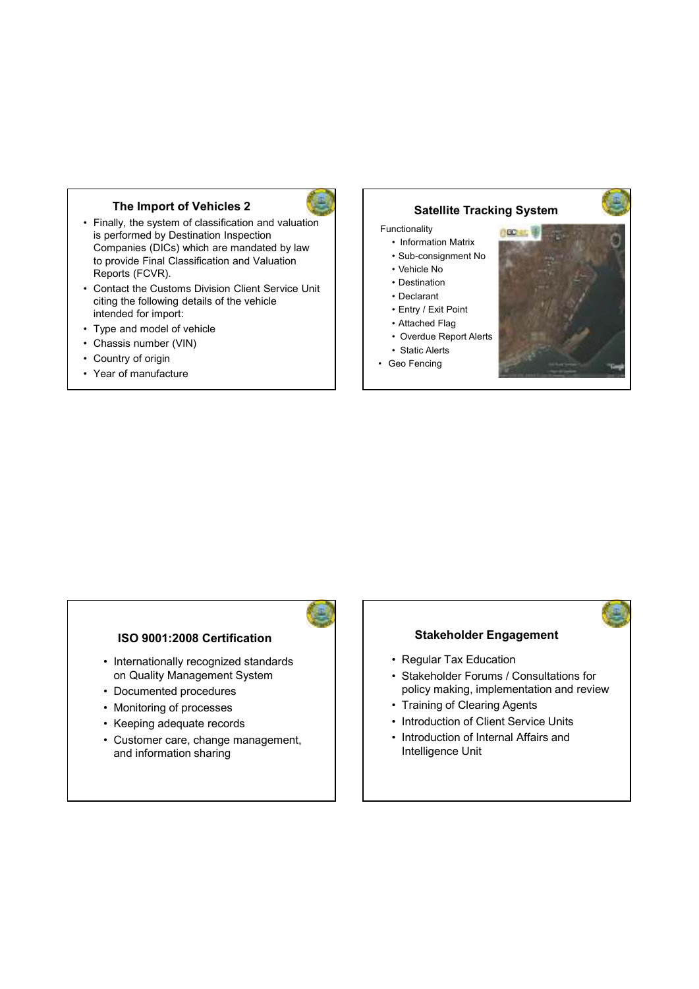### **The Import of Vehicles 2**

- Finally, the system of classification and valuation is performed by Destination Inspection Companies (DICs) which are mandated by law to provide Final Classification and Valuation Reports (FCVR).
- Contact the Customs Division Client Service Unit citing the following details of the vehicle intended for import:
- Type and model of vehicle
- Chassis number (VIN)
- Country of origin
- Year of manufacture

# **Satellite Tracking System**

- Functionality
	- Information Matrix
	- Sub-consignment No
	- Vehicle No
	- Destination
	- Declarant
	- Entry / Exit Point
	- Attached Flag
- Overdue Report Alerts • Static Alerts
- Geo Fencing
- 





#### **ISO 9001:2008 Certification**

- Internationally recognized standards on Quality Management System
- Documented procedures
- Monitoring of processes
- Keeping adequate records
- Customer care, change management, and information sharing

#### **Stakeholder Engagement**

- Regular Tax Education
- Stakeholder Forums / Consultations for policy making, implementation and review
- Training of Clearing Agents
- Introduction of Client Service Units
- Introduction of Internal Affairs and Intelligence Unit